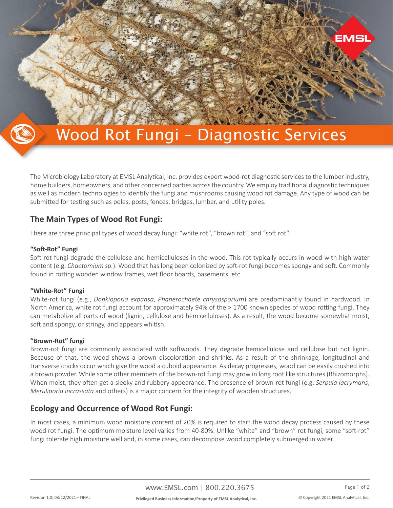

# Wood Rot Fungi – Diagnostic Services

The Microbiology Laboratory at EMSL Analytical, Inc. provides expert wood-rot diagnostic services to the lumber industry, home builders, homeowners, and other concerned parties across the country. We employ traditional diagnostic techniques as well as modern technologies to identify the fungi and mushrooms causing wood rot damage. Any type of wood can be submitted for testing such as poles, posts, fences, bridges, lumber, and utility poles.

## **The Main Types of Wood Rot Fungi:**

There are three principal types of wood decay fungi: "white rot", "brown rot", and "soft rot".

### **"Soft-Rot" Fungi**

Soft rot fungi degrade the cellulose and hemicelluloses in the wood. This rot typically occurs in wood with high water content (e.g. *Chaetomium sp.*). Wood that has long been colonized by soft-rot fungi becomes spongy and soft. Commonly found in rotting wooden window frames, wet floor boards, basements, etc.

## **"White-Rot" Fungi**

White-rot fungi (e.g., *Donkioporia expansa*, *Phanerochaete chrysosporium*) are predominantly found in hardwood. In North America, white rot fungi account for approximately 94% of the > 1700 known species of wood rotting fungi. They can metabolize all parts of wood (lignin, cellulose and hemicelluloses). As a result, the wood become somewhat moist, soft and spongy, or stringy, and appears whitish.

#### **"Brown-Rot" fungi**

Brown-rot fungi are commonly associated with softwoods. They degrade hemicellulose and cellulose but not lignin. Because of that, the wood shows a brown discoloration and shrinks. As a result of the shrinkage, longitudinal and transverse cracks occur which give the wood a cuboid appearance. As decay progresses, wood can be easily crushed into a brown powder. While some other members of the brown-rot fungi may grow in long root like structures (Rhizomorphs). When moist, they often get a sleeky and rubbery appearance. The presence of brown-rot fungi (e.g. *Serpula lacrymans*, *Meruliporia incrassata* and others) is a major concern for the integrity of wooden structures.

## **Ecology and Occurrence of Wood Rot Fungi:**

In most cases, a minimum wood moisture content of 20% is required to start the wood decay process caused by these wood rot fungi. The optimum moisture level varies from 40-80%. Unlike "white" and "brown" rot fungi, some "soft-rot" fungi tolerate high moisture well and, in some cases, can decompose wood completely submerged in water.